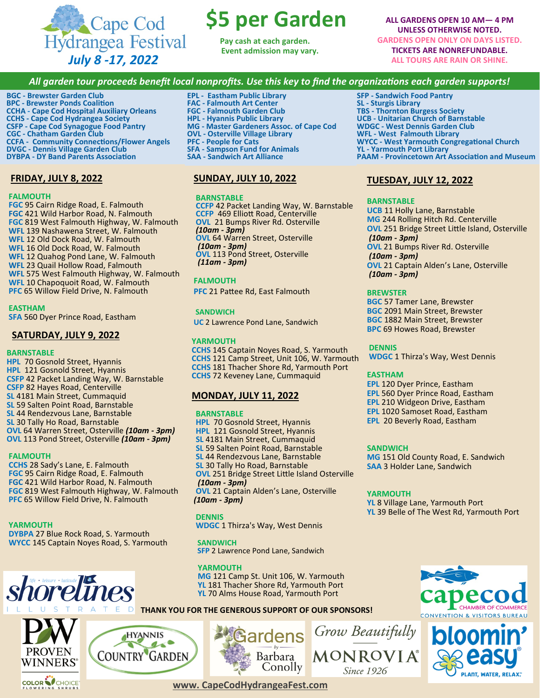

# **\$5 per Garden**

**Pay cash at each garden. Event admission may vary.**

**ALL GARDENS OPEN 10 AM— 4 PM UNLESS OTHERWISE NOTED. GARDENS OPEN ONLY ON DAYS LISTED. TICKETS ARE NONREFUNDABLE. ALL TOURS ARE RAIN OR SHINE.**

# *All garden tour proceeds benefit local nonprofits. Use this key to find the organizations each garden supports!*

**BGC - Brewster Garden Club BPC - Brewster Ponds Coalition CCHA - Cape Cod Hospital Auxiliary Orleans CCHS - Cape Cod Hydrangea Society CSFP - Cape Cod Synagogue Food Pantry CGC - Chatham Garden Club CCFA - Community Connections/Flower Angels DVGC - Dennis Village Garden Club DYBPA - DY Band Parents Association**

# **FRIDAY, JULY 8, 2022**

#### **FALMOUTH**

 **FGC** 95 Cairn Ridge Road, E. Falmouth  **FGC** 421 Wild Harbor Road, N. Falmouth  **FGC** 819 West Falmouth Highway, W. Falmouth  **WFL** 139 Nashawena Street, W. Falmouth  **WFL** 12 Old Dock Road, W. Falmouth  **WFL** 16 Old Dock Road, W. Falmouth  **WFL** 12 Quahog Pond Lane, W. Falmouth  **WFL** 23 Quail Hollow Road, Falmouth  **WFL** 575 West Falmouth Highway, W. Falmouth **WFL** 10 Chapoquoit Road, W. Falmouth  **PFC** 65 Willow Field Drive, N. Falmouth

#### **EASTHAM**

 **SFA** 560 Dyer Prince Road, Eastham

## **SATURDAY, JULY 9, 2022**

#### **BARNSTABLE**

 **HPL** 70 Gosnold Street, Hyannis **HPL** 121 Gosnold Street, Hyannis **CSFP** 42 Packet Landing Way, W. Barnstable  **CSFP** 82 Hayes Road, Centerville **SL** 4181 Main Street, Cummaquid **SL** 59 Salten Point Road, Barnstable  **SL** 44 Rendezvous Lane, Barnstable **SL** 30 Tally Ho Road, Barnstable  **OVL** 64 Warren Street, Osterville *(10am - 3pm)* **OVL** 113 Pond Street, Osterville *(10am - 3pm)*

#### **FALMOUTH**

 **CCHS** 28 Sady's Lane, E. Falmouth **FGC** 95 Cairn Ridge Road, E. Falmouth  **FGC** 421 Wild Harbor Road, N. Falmouth  **FGC** 819 West Falmouth Highway, W. Falmouth **PFC** 65 Willow Field Drive, N. Falmouth

#### **YARMOUTH**

 **DYBPA** 27 Blue Rock Road, S. Yarmouth **WYCC** 145 Captain Noyes Road, S. Yarmouth

**HYANNIS** 

**COUNTRY GARDEN** 

 $15^{\circ}$ 





- **EPL - Eastham Public Library FAC - Falmouth Art Center**
- **FGC - Falmouth Garden Club**
- **HPL - Hyannis Public Library**
- **MG - Master Gardeners Assoc. of Cape Cod**
- **OVL - Osterville Village Library**
- **PFC - People for Cats**
- **SFA - Sampson Fund for Animals**
- **SAA - Sandwich Art Alliance**

## **SUNDAY, JULY 10, 2022**

#### **BARNSTABLE**

 **CCFP** 42 Packet Landing Way, W. Barnstable **CCFP** 469 Elliott Road, Centerville **OVL** 21 Bumps River Rd. Osterville  *(10am - 3pm)* **OVL** 64 Warren Street, Osterville *(10am - 3pm)*  **OVL** 113 Pond Street, Osterville  *(11am - 3pm)*

#### **FALMOUTH**

**PFC** 21 Pattee Rd, East Falmouth

 **SANDWICH UC** 2 Lawrence Pond Lane, Sandwich

**YARMOUTH CCHS** 145 Captain Noyes Road, S. Yarmouth **CCHS** 121 Camp Street, Unit 106, W. Yarmouth **CCHS** 181 Thacher Shore Rd, Yarmouth Port **CCHS** 72 Keveney Lane, Cummaquid

## **MONDAY, JULY 11, 2022**

#### **BARNSTABLE**

 **HPL** 70 Gosnold Street, Hyannis **HPL** 121 Gosnold Street, Hyannis **SL** 4181 Main Street, Cummaquid **SL** 59 Salten Point Road, Barnstable  **SL** 44 Rendezvous Lane, Barnstable **SL** 30 Tally Ho Road, Barnstable  **OVL** 251 Bridge Street Little Island Osterville *(10am - 3pm)* **OVL 21 Captain Alden's Lane, Osterville** *(10am - 3pm)*

#### **DENNIS**

 **WDGC** 1 Thirza's Way, West Dennis

 **SANDWICH**

 **SFP** 2 Lawrence Pond Lane, Sandwich

 **MG** 121 Camp St. Unit 106, W. Yarmouth **YL** 181 Thacher Shore Rd, Yarmouth Port  **YL** 70 Alms House Road, Yarmouth Port

**SFP - Sandwich Food Pantry SL - Sturgis Library TBS - Thornton Burgess Society UCB - Unitarian Church of Barnstable WDGC - West Dennis Garden Club WFL - West Falmouth Library WYCC - West Yarmouth Congregational Church YL - Yarmouth Port Library PAAM - Provincetown Art Association and Museum** 

## **TUESDAY, JULY 12, 2022**

# **BARNSTABLE**

**UCB** 11 Holly Lane, Barnstable **MG** 244 Rolling Hitch Rd. Centerville **OVL** 251 Bridge Street Little Island, Osterville *(10am - 3pm)* **OVL** 21 Bumps River Rd. Osterville *(10am - 3pm)* **OVL** 21 Captain Alden's Lane, Osterville *(10am - 3pm)*

#### **BREWSTER**

**BGC** 57 Tamer Lane, Brewster **BGC** 2091 Main Street, Brewster **BGC** 1882 Main Street, Brewster **BPC** 69 Howes Road, Brewster

#### **DENNIS**

**WDGC** 1 Thirza's Way, West Dennis

#### **EASTHAM**

**EPL** 120 Dyer Prince, Eastham **EPL** 560 Dyer Prince Road, Eastham **EPL** 210 Widgeon Drive, Eastham **EPL** 1020 Samoset Road, Eastham **EPL** 20 Beverly Road, Eastham

#### **SANDWICH**

**MG** 151 Old County Road, E. Sandwich **SAA** 3 Holder Lane, Sandwich

#### **YARMOUTH**

**YL** 8 Village Lane, Yarmouth Port **YL** 39 Belle of The West Rd, Yarmouth Port











**www. CapeCodHydrangeaFest.com**

 **YARMOUTH**